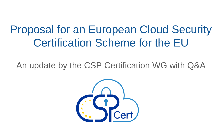# Proposal for an European Cloud Security Certification Scheme for the EU

### An update by the CSP Certification WG with Q&A

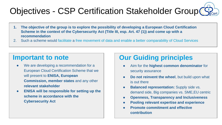# Objectives - CSP Certification Stakeholder Group CSP

- **1. The objective of the group is to explore the possibility of developing a European Cloud Certification Scheme in the context of the Cybersecurity Act (Title III, esp. Art. 47 (1)) and come up with a recommendation**
- 2. Such a scheme would facilitate a free movement of data and enable a better comparability of Cloud Services

#### **Important to note**

- We are developing a recommendation for a European Cloud Certification Scheme that we will present to **ENISA, European Commission, member states** and any other **relevant stakeholder**
- **ENISA will be responsible for setting up the scheme in accordance with the Cybersecurity Act**

#### **Our Guiding principles**

- Aim for the **highest common denominator** for security assurance
- **Do not reinvent the wheel, but build upon what** is out there
- **Balanced representation:** Supply side vs. demand side, Big companies vs. SME,EU centric
- **Openness, Transparency and Inclusiveness**
- **Pooling relevant expertise and experience**
- **Promote commitment and effective contribution**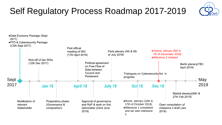## Self Regulatory Process Roadmap 2017-2019



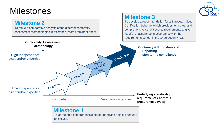### **Milestones**

#### **Milestone 2**

To make a comparative analysis of the different conformity assessment methodologies in existence (most prominent ones)

#### **Milestone 3**

To develop a recommendation for a European Cloud Certification Scheme which provides for a clear and comprehensive set of security requirements at given level(s) of assurance in accordance with the requirements set out in the Cybersecurity Act.